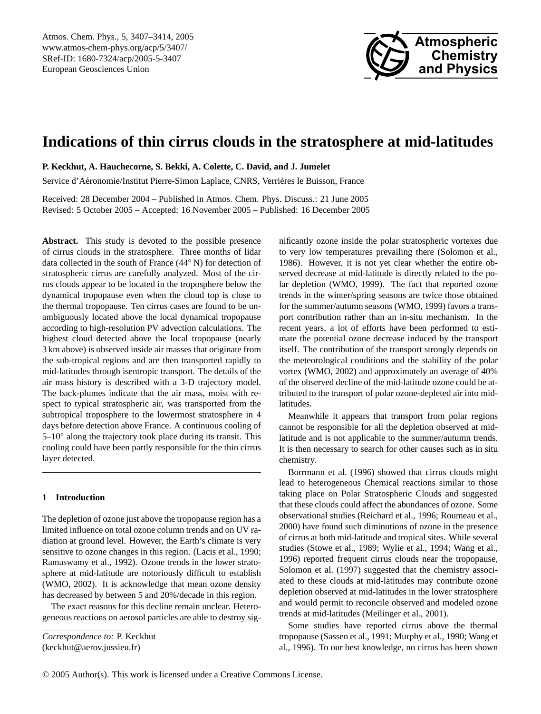

# **Indications of thin cirrus clouds in the stratosphere at mid-latitudes**

**P. Keckhut, A. Hauchecorne, S. Bekki, A. Colette, C. David, and J. Jumelet**

Service d'Aéronomie/Institut Pierre-Simon Laplace, CNRS, Verrières le Buisson, France

Received: 28 December 2004 – Published in Atmos. Chem. Phys. Discuss.: 21 June 2005 Revised: 5 October 2005 – Accepted: 16 November 2005 – Published: 16 December 2005

**Abstract.** This study is devoted to the possible presence of cirrus clouds in the stratosphere. Three months of lidar data collected in the south of France (44◦ N) for detection of stratospheric cirrus are carefully analyzed. Most of the cirrus clouds appear to be located in the troposphere below the dynamical tropopause even when the cloud top is close to the thermal tropopause. Ten cirrus cases are found to be unambiguously located above the local dynamical tropopause according to high-resolution PV advection calculations. The highest cloud detected above the local tropopause (nearly 3 km above) is observed inside air masses that originate from the sub-tropical regions and are then transported rapidly to mid-latitudes through isentropic transport. The details of the air mass history is described with a 3-D trajectory model. The back-plumes indicate that the air mass, moist with respect to typical stratospheric air, was transported from the subtropical troposphere to the lowermost stratosphere in 4 days before detection above France. A continuous cooling of 5–10° along the trajectory took place during its transit. This cooling could have been partly responsible for the thin cirrus layer detected.

## **1 Introduction**

The depletion of ozone just above the tropopause region has a limited influence on total ozone column trends and on UV radiation at ground level. However, the Earth's climate is very sensitive to ozone changes in this region. (Lacis et al., 1990; Ramaswamy et al., 1992). Ozone trends in the lower stratosphere at mid-latitude are notoriously difficult to establish (WMO, 2002). It is acknowledge that mean ozone density has decreased by between 5 and 20%/decade in this region.

The exact reasons for this decline remain unclear. Heterogeneous reactions on aerosol particles are able to destroy sig-

<span id="page-0-0"></span>*Correspondence to:* P. Keckhut (keckhut@aerov.jussieu.fr)

nificantly ozone inside the polar stratospheric vortexes due to very low temperatures prevailing there (Solomon et al., 1986). However, it is not yet clear whether the entire observed decrease at mid-latitude is directly related to the polar depletion (WMO, 1999). The fact that reported ozone trends in the winter/spring seasons are twice those obtained for the summer/autumn seasons (WMO, 1999) favors a transport contribution rather than an in-situ mechanism. In the recent years, a lot of efforts have been performed to estimate the potential ozone decrease induced by the transport itself. The contribution of the transport strongly depends on the meteorological conditions and the stability of the polar vortex (WMO, 2002) and approximately an average of 40% of the observed decline of the mid-latitude ozone could be attributed to the transport of polar ozone-depleted air into midlatitudes.

Meanwhile it appears that transport from polar regions cannot be responsible for all the depletion observed at midlatitude and is not applicable to the summer/autumn trends. It is then necessary to search for other causes such as in situ chemistry.

Borrmann et al. (1996) showed that cirrus clouds might lead to heterogeneous Chemical reactions similar to those taking place on Polar Stratospheric Clouds and suggested that these clouds could affect the abundances of ozone. Some observational studies (Reichard et al., 1996; Roumeau et al., 2000) have found such diminutions of ozone in the presence of cirrus at both mid-latitude and tropical sites. While several studies (Stowe et al., 1989; Wylie et al., 1994; Wang et al., 1996) reported frequent cirrus clouds near the tropopause, Solomon et al. (1997) suggested that the chemistry associated to these clouds at mid-latitudes may contribute ozone depletion observed at mid-latitudes in the lower stratosphere and would permit to reconcile observed and modeled ozone trends at mid-latitudes (Meilinger et al., 2001).

Some studies have reported cirrus above the thermal tropopause (Sassen et al., 1991; Murphy et al., 1990; Wang et al., 1996). To our best knowledge, no cirrus has been shown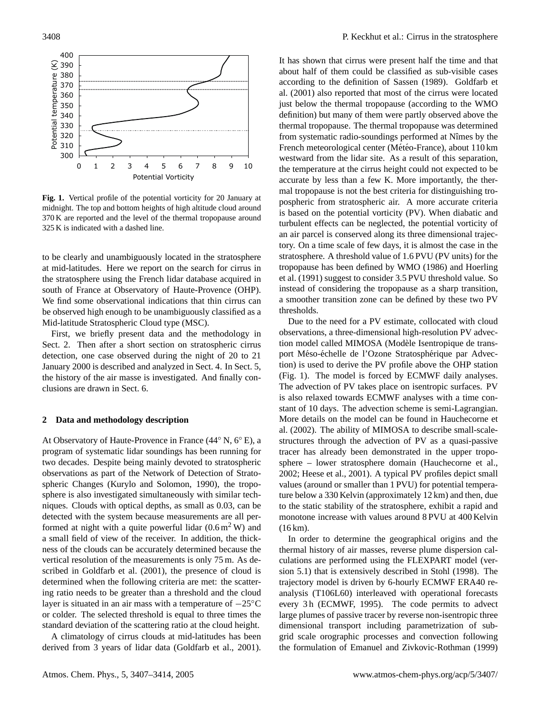

**Fig. 1.** Vertical profile of the potential vorticity for 20 January at midnight. The top and bottom heights of high altitude cloud around 370 K are reported and the level of the thermal tropopause around 325 K is indicated with a dashed line.

to be clearly and unambiguously located in the stratosphere at mid-latitudes. Here we report on the search for cirrus in the stratosphere using the French lidar database acquired in south of France at Observatory of Haute-Provence (OHP). We find some observational indications that thin cirrus can be observed high enough to be unambiguously classified as a Mid-latitude Stratospheric Cloud type (MSC).

First, we briefly present data and the methodology in Sect. 2. Then after a short section on stratospheric cirrus detection, one case observed during the night of 20 to 21 January 2000 is described and analyzed in Sect. 4. In Sect. 5, the history of the air masse is investigated. And finally conclusions are drawn in Sect. 6.

### **2 Data and methodology description**

At Observatory of Haute-Provence in France (44◦ N, 6◦ E), a program of systematic lidar soundings has been running for two decades. Despite being mainly devoted to stratospheric observations as part of the Network of Detection of Stratospheric Changes (Kurylo and Solomon, 1990), the troposphere is also investigated simultaneously with similar techniques. Clouds with optical depths, as small as 0.03, can be detected with the system because measurements are all performed at night with a quite powerful lidar  $(0.6 \text{ m}^2 \text{ W})$  and a small field of view of the receiver. In addition, the thickness of the clouds can be accurately determined because the vertical resolution of the measurements is only 75 m. As described in Goldfarb et al. (2001), the presence of cloud is determined when the following criteria are met: the scattering ratio needs to be greater than a threshold and the cloud layer is situated in an air mass with a temperature of  $-25\degree C$ or colder. The selected threshold is equal to three times the standard deviation of the scattering ratio at the cloud height.

A climatology of cirrus clouds at mid-latitudes has been derived from 3 years of lidar data (Goldfarb et al., 2001). It has shown that cirrus were present half the time and that about half of them could be classified as sub-visible cases according to the definition of Sassen (1989). Goldfarb et al. (2001) also reported that most of the cirrus were located just below the thermal tropopause (according to the WMO definition) but many of them were partly observed above the thermal tropopause. The thermal tropopause was determined from systematic radio-soundings performed at Nîmes by the French meteorological center (Météo-France), about 110 km westward from the lidar site. As a result of this separation, the temperature at the cirrus height could not expected to be accurate by less than a few K. More importantly, the thermal tropopause is not the best criteria for distinguishing tropospheric from stratospheric air. A more accurate criteria is based on the potential vorticity (PV). When diabatic and turbulent effects can be neglected, the potential vorticity of an air parcel is conserved along its three dimensional trajectory. On a time scale of few days, it is almost the case in the stratosphere. A threshold value of 1.6 PVU (PV units) for the tropopause has been defined by WMO (1986) and Hoerling et al. (1991) suggest to consider 3.5 PVU threshold value. So instead of considering the tropopause as a sharp transition, a smoother transition zone can be defined by these two PV thresholds.

Due to the need for a PV estimate, collocated with cloud observations, a three-dimensional high-resolution PV advection model called MIMOSA (Modèle Isentropique de transport Méso-échelle de l'Ozone Stratosphérique par Advection) is used to derive the PV profile above the OHP station (Fig. 1). The model is forced by ECMWF daily analyses. The advection of PV takes place on isentropic surfaces. PV is also relaxed towards ECMWF analyses with a time constant of 10 days. The advection scheme is semi-Lagrangian. More details on the model can be found in Hauchecorne et al. (2002). The ability of MIMOSA to describe small-scalestructures through the advection of PV as a quasi-passive tracer has already been demonstrated in the upper troposphere – lower stratosphere domain (Hauchecorne et al., 2002; Heese et al., 2001). A typical PV profiles depict small values (around or smaller than 1 PVU) for potential temperature below a 330 Kelvin (approximately 12 km) and then, due to the static stability of the stratosphere, exhibit a rapid and monotone increase with values around 8 PVU at 400 Kelvin  $(16 km).$ 

In order to determine the geographical origins and the thermal history of air masses, reverse plume dispersion calculations are performed using the FLEXPART model (version 5.1) that is extensively described in Stohl (1998). The trajectory model is driven by 6-hourly ECMWF ERA40 reanalysis (T106L60) interleaved with operational forecasts every 3 h (ECMWF, 1995). The code permits to advect large plumes of passive tracer by reverse non-isentropic three dimensional transport including parametrization of subgrid scale orographic processes and convection following the formulation of Emanuel and Zivkovic-Rothman (1999)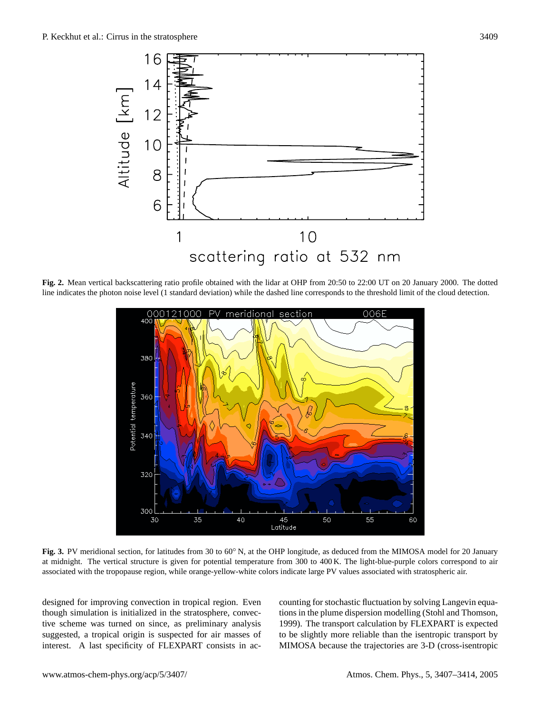

line indicates the photon noise level (1 standard deviation) while the dashed line corresponds to the threshold limit of the cloud detection. **Fig. 2.** Mean vertical backscattering ratio profile obtained with the lidar at OHP from 20:50 to 22:00 UT on 20 January 2000. The dotted



**Fig. 3.** PV meridional section, for latitudes from 30 to 60° N, at the GM longitude, as deduced from the MINGSN model for 20 standary at midnight. The vertical structure is given for potential temperature from 300 to 400 associated with the tropopause region, while orange-yellow-white colors indicate large PV values associated with stratospheric air. **Fig. 3.** PV meridional section, for latitudes from 30 to 60◦ N, at the OHP longitude, as deduced from the MIMOSA model for 20 January

designed for improving convection in tropical region. Even counting for stochastic fluctuation by solving the state of the dispute convection in the dispute convection in the strategy of the plume disposition modelling (S spond to a maximum the transported with the transport calculation by FLEY tive scheme was turned on since, as preliminary analysis 1999). The transport calculation by FLEY interest. A last specificity of FLEXPART consists in acthough simulation is initialized in the stratosphere, convecsuggested, a tropical origin is suspected for air masses of

cal origin is suspected for air masses of to be slightly more reliable than the isentropic transport by counting for stochastic fluctuation by solving Langevin equations in the plume dispersion modelling (Stohl and Thomson, 1999). The transport calculation by FLEXPART is expected MIMOSA because the trajectories are 3-D (cross-isentropic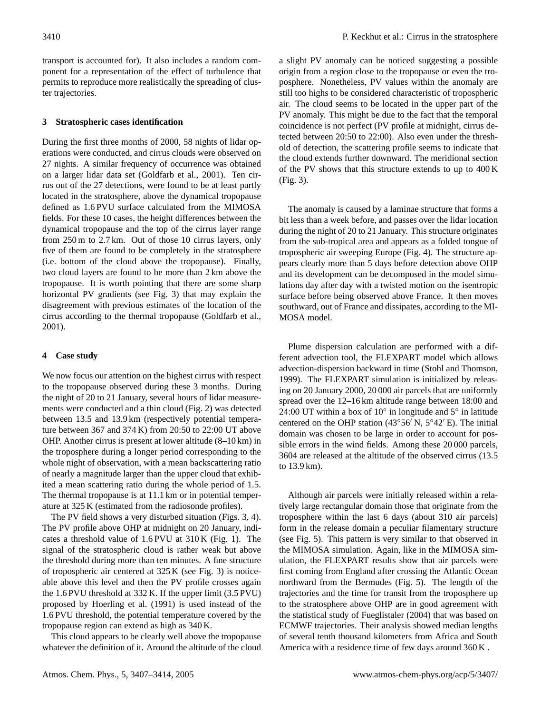transport is accounted for). It also includes a random component for a representation of the effect of turbulence that permits to reproduce more realistically the spreading of cluster trajectories.

# **3 Stratospheric cases identification**

During the first three months of 2000, 58 nights of lidar operations were conducted, and cirrus clouds were observed on 27 nights. A similar frequency of occurrence was obtained on a larger lidar data set (Goldfarb et al., 2001). Ten cirrus out of the 27 detections, were found to be at least partly located in the stratosphere, above the dynamical tropopause defined as 1.6 PVU surface calculated from the MIMOSA fields. For these 10 cases, the height differences between the dynamical tropopause and the top of the cirrus layer range from 250 m to 2.7 km. Out of those 10 cirrus layers, only five of them are found to be completely in the stratosphere (i.e. bottom of the cloud above the tropopause). Finally, two cloud layers are found to be more than 2 km above the tropopause. It is worth pointing that there are some sharp horizontal PV gradients (see Fig. 3) that may explain the disagreement with previous estimates of the location of the cirrus according to the thermal tropopause (Goldfarb et al., 2001).

# **4 Case study**

We now focus our attention on the highest cirrus with respect to the tropopause observed during these 3 months. During the night of 20 to 21 January, several hours of lidar measurements were conducted and a thin cloud (Fig. 2) was detected between 13.5 and 13.9 km (respectively potential temperature between 367 and 374 K) from 20:50 to 22:00 UT above OHP. Another cirrus is present at lower altitude (8–10 km) in the troposphere during a longer period corresponding to the whole night of observation, with a mean backscattering ratio of nearly a magnitude larger than the upper cloud that exhibited a mean scattering ratio during the whole period of 1.5. The thermal tropopause is at 11.1 km or in potential temperature at 325 K (estimated from the radiosonde profiles).

The PV field shows a very disturbed situation (Figs. 3, 4). The PV profile above OHP at midnight on 20 January, indicates a threshold value of 1.6 PVU at 310 K (Fig. 1). The signal of the stratospheric cloud is rather weak but above the threshold during more than ten minutes. A fine structure of tropospheric air centered at 325 K (see Fig. 3) is noticeable above this level and then the PV profile crosses again the 1.6 PVU threshold at 332 K. If the upper limit (3.5 PVU) proposed by Hoerling et al. (1991) is used instead of the 1.6 PVU threshold, the potential temperature covered by the tropopause region can extend as high as 340 K.

This cloud appears to be clearly well above the tropopause whatever the definition of it. Around the altitude of the cloud a slight PV anomaly can be noticed suggesting a possible origin from a region close to the tropopause or even the troposphere. Nonetheless, PV values within the anomaly are still too highs to be considered characteristic of tropospheric air. The cloud seems to be located in the upper part of the PV anomaly. This might be due to the fact that the temporal coincidence is not perfect (PV profile at midnight, cirrus detected between 20:50 to 22:00). Also even under the threshold of detection, the scattering profile seems to indicate that the cloud extends further downward. The meridional section of the PV shows that this structure extends to up to 400 K (Fig. 3).

The anomaly is caused by a laminae structure that forms a bit less than a week before, and passes over the lidar location during the night of 20 to 21 January. This structure originates from the sub-tropical area and appears as a folded tongue of tropospheric air sweeping Europe (Fig. 4). The structure appears clearly more than 5 days before detection above OHP and its development can be decomposed in the model simulations day after day with a twisted motion on the isentropic surface before being observed above France. It then moves southward, out of France and dissipates, according to the MI-MOSA model.

Plume dispersion calculation are performed with a different advection tool, the FLEXPART model which allows advection-dispersion backward in time (Stohl and Thomson, 1999). The FLEXPART simulation is initialized by releasing on 20 January 2000, 20 000 air parcels that are uniformly spread over the 12–16 km altitude range between 18:00 and 24:00 UT within a box of  $10^{\circ}$  in longitude and  $5^{\circ}$  in latitude centered on the OHP station (43°56′ N,  $5°42'$  E). The initial domain was chosen to be large in order to account for possible errors in the wind fields. Among these 20 000 parcels, 3604 are released at the altitude of the observed cirrus (13.5 to 13.9 km).

Although air parcels were initially released within a relatively large rectangular domain those that originate from the troposphere within the last 6 days (about 310 air parcels) form in the release domain a peculiar filamentary structure (see Fig. 5). This pattern is very similar to that observed in the MIMOSA simulation. Again, like in the MIMOSA simulation, the FLEXPART results show that air parcels were first coming from England after crossing the Atlantic Ocean northward from the Bermudes (Fig. 5). The length of the trajectories and the time for transit from the troposphere up to the stratosphere above OHP are in good agreement with the statistical study of Fueglistaler (2004) that was based on ECMWF trajectories. Their analysis showed median lengths of several tenth thousand kilometers from Africa and South America with a residence time of few days around 360 K .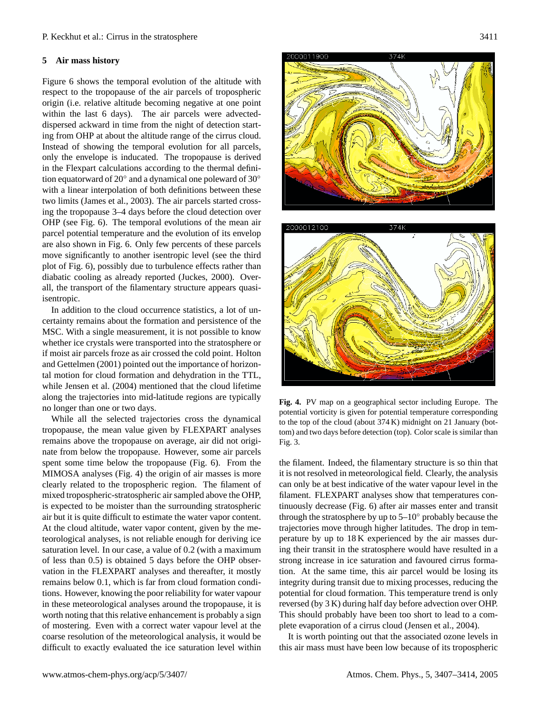### **5 Air mass history**

Figure 6 shows the temporal evolution of the altitude with respect to the tropopause of the air parcels of tropospheric origin (i.e. relative altitude becoming negative at one point within the last 6 days). The air parcels were advecteddispersed ackward in time from the night of detection starting from OHP at about the altitude range of the cirrus cloud. Instead of showing the temporal evolution for all parcels, only the envelope is inducated. The tropopause is derived in the Flexpart calculations according to the thermal definition equatorward of 20 $^{\circ}$  and a dynamical one poleward of 30 $^{\circ}$ with a linear interpolation of both definitions between these two limits (James et al., 2003). The air parcels started crossing the tropopause 3–4 days before the cloud detection over OHP (see Fig. 6). The temporal evolutions of the mean air parcel potential temperature and the evolution of its envelop are also shown in Fig. 6. Only few percents of these parcels move significantly to another isentropic level (see the third plot of Fig. 6), possibly due to turbulence effects rather than diabatic cooling as already reported (Juckes, 2000). Overall, the transport of the filamentary structure appears quasiisentropic.

In addition to the cloud occurrence statistics, a lot of uncertainty remains about the formation and persistence of the MSC. With a single measurement, it is not possible to know whether ice crystals were transported into the stratosphere or if moist air parcels froze as air crossed the cold point. Holton and Gettelmen (2001) pointed out the importance of horizontal motion for cloud formation and dehydration in the TTL, while Jensen et al. (2004) mentioned that the cloud lifetime along the trajectories into mid-latitude regions are typically no longer than one or two days.

While all the selected trajectories cross the dynamical tropopause, the mean value given by FLEXPART analyses remains above the tropopause on average, air did not originate from below the tropopause. However, some air parcels spent some time below the tropopause (Fig. 6). From the MIMOSA analyses (Fig. 4) the origin of air masses is more clearly related to the tropospheric region. The filament of mixed tropospheric-stratospheric air sampled above the OHP, is expected to be moister than the surrounding stratospheric air but it is quite difficult to estimate the water vapor content. At the cloud altitude, water vapor content, given by the meteorological analyses, is not reliable enough for deriving ice saturation level. In our case, a value of 0.2 (with a maximum of less than 0.5) is obtained 5 days before the OHP observation in the FLEXPART analyses and thereafter, it mostly remains below 0.1, which is far from cloud formation conditions. However, knowing the poor reliability for water vapour in these meteorological analyses around the tropopause, it is worth noting that this relative enhancement is probably a sign of mostering. Even with a correct water vapour level at the coarse resolution of the meteorological analysis, it would be difficult to exactly evaluated the ice saturation level within





**Fig. 4.** PV map on a geographical sector including Europe. The **Fig. 4.** PV map on a geographical sector including Europe. The potential vorticity is given for potential temperature corresponding potential vorticity is given for potential temperature corresponding to the top of the cloud (about  $374$  K) midnight on 21 January (bottom) and two days before detection (top). Color scale is similar than Fig. 3. Fig. 3.

tion. At the same time, this air parcel would be losing its  $\frac{1}{2}$ the filament. Indeed, the filamentary structure is so thin that it is not resolved in meteorological field. Clearly, the analysis can only be at best indicative of the water vapour level in the filament. FLEXPART analyses show that temperatures continuously decrease (Fig. 6) after air masses enter and transit through the stratosphere by up to 5–10◦ probably because the trajectories move through higher latitudes. The drop in temperature by up to 18 K experienced by the air masses during their transit in the stratosphere would have resulted in a strong increase in ice saturation and favoured cirrus formaintegrity during transit due to mixing processes, reducing the potential for cloud formation. This temperature trend is only reversed (by 3 K) during half day before advection over OHP. This should probably have been too short to lead to a complete evaporation of a cirrus cloud (Jensen et al., 2004).

It is worth pointing out that the associated ozone levels in this air mass must have been low because of its tropospheric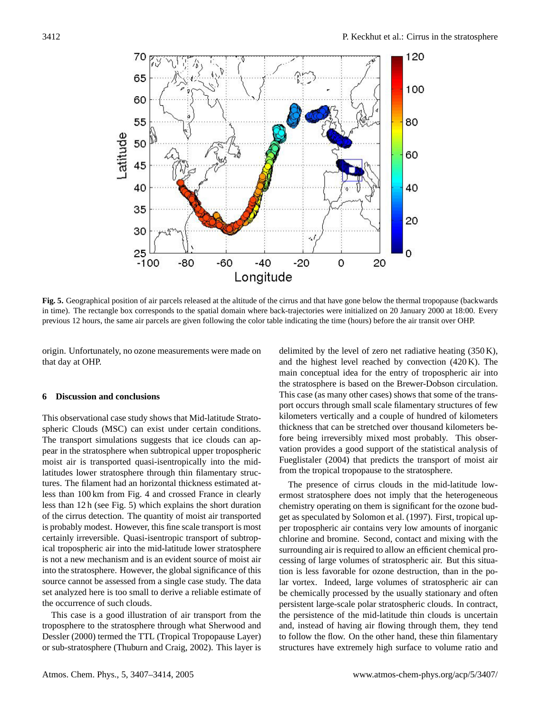

**Fig. 5.** Geographical position of air parcels released at the altitude of the cirrus and that have gone below the thermal tropopause (backwards in time). The rectangle box corresponds to the spatial domain where back-trajectories were initialized on 20 January 2000 at 18:00. Every previous 12 hours, the same air parcels are given following the color table indicating the time (hours) before the air transit over OHP.

origin. Unfortunately, no ozone measurements were made on that day at OHP.

## **6 Discussion and conclusions**

This observational case study shows that Mid-latitude Stratospheric Clouds (MSC) can exist under certain conditions. The transport simulations suggests that ice clouds can appear in the stratosphere when subtropical upper tropospheric moist air is transported quasi-isentropically into the midlatitudes lower stratosphere through thin filamentary structures. The filament had an horizontal thickness estimated atless than 100 km from Fig. 4 and crossed France in clearly less than 12 h (see Fig. 5) which explains the short duration of the cirrus detection. The quantity of moist air transported is probably modest. However, this fine scale transport is most certainly irreversible. Quasi-isentropic transport of subtropical tropospheric air into the mid-latitude lower stratosphere is not a new mechanism and is an evident source of moist air into the stratosphere. However, the global significance of this source cannot be assessed from a single case study. The data set analyzed here is too small to derive a reliable estimate of the occurrence of such clouds.

This case is a good illustration of air transport from the troposphere to the stratosphere through what Sherwood and Dessler (2000) termed the TTL (Tropical Tropopause Layer) or sub-stratosphere (Thuburn and Craig, 2002). This layer is delimited by the level of zero net radiative heating (350 K), and the highest level reached by convection (420 K). The main conceptual idea for the entry of tropospheric air into the stratosphere is based on the Brewer-Dobson circulation. This case (as many other cases) shows that some of the transport occurs through small scale filamentary structures of few kilometers vertically and a couple of hundred of kilometers thickness that can be stretched over thousand kilometers before being irreversibly mixed most probably. This observation provides a good support of the statistical analysis of Fueglistaler (2004) that predicts the transport of moist air from the tropical tropopause to the stratosphere.

The presence of cirrus clouds in the mid-latitude lowermost stratosphere does not imply that the heterogeneous chemistry operating on them is significant for the ozone budget as speculated by Solomon et al. (1997). First, tropical upper tropospheric air contains very low amounts of inorganic chlorine and bromine. Second, contact and mixing with the surrounding air is required to allow an efficient chemical processing of large volumes of stratospheric air. But this situation is less favorable for ozone destruction, than in the polar vortex. Indeed, large volumes of stratospheric air can be chemically processed by the usually stationary and often persistent large-scale polar stratospheric clouds. In contract, the persistence of the mid-latitude thin clouds is uncertain and, instead of having air flowing through them, they tend to follow the flow. On the other hand, these thin filamentary structures have extremely high surface to volume ratio and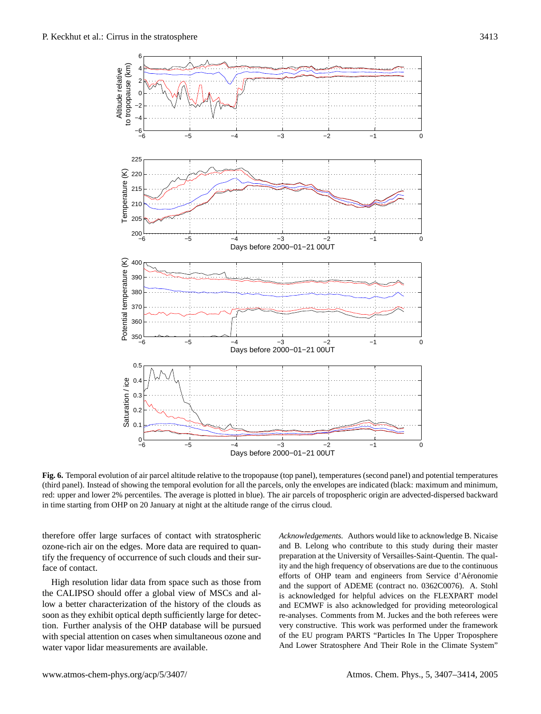

**Fig. 6.** Temporal evolution of air parcel altitude relative to the tropopause (top panel), temperatures (second panel) and potential temperatures (third panel). Instead of showing the temporal evolution for all the parcels, only the envelopes are indicated (black: maximum and minimum, red: upper and lower 2% percentiles. The average is plotted in blue). The air parcels of tropospheric origin are advected-dispersed backward in time starting from OHP on 20 January at night at the altitude range of the cirrus cloud.

therefore offer large surfaces of contact with stratospheric ozone-rich air on the edges. More data are required to quantify the frequency of occurrence of such clouds and their surface of contact.

High resolution lidar data from space such as those from the CALIPSO should offer a global view of MSCs and allow a better characterization of the history of the clouds as soon as they exhibit optical depth sufficiently large for detection. Further analysis of the OHP database will be pursued with special attention on cases when simultaneous ozone and water vapor lidar measurements are available.

*Acknowledgements.* Authors would like to acknowledge B. Nicaise and B. Lelong who contribute to this study during their master preparation at the University of Versailles-Saint-Quentin. The quality and the high frequency of observations are due to the continuous efforts of OHP team and engineers from Service d'Aéronomie and the support of ADEME (contract no. 0362C0076). A. Stohl is acknowledged for helpful advices on the FLEXPART model and ECMWF is also acknowledged for providing meteorological re-analyses. Comments from M. Juckes and the both referees were very constructive. This work was performed under the framework of the EU program PARTS "Particles In The Upper Troposphere And Lower Stratosphere And Their Role in the Climate System"